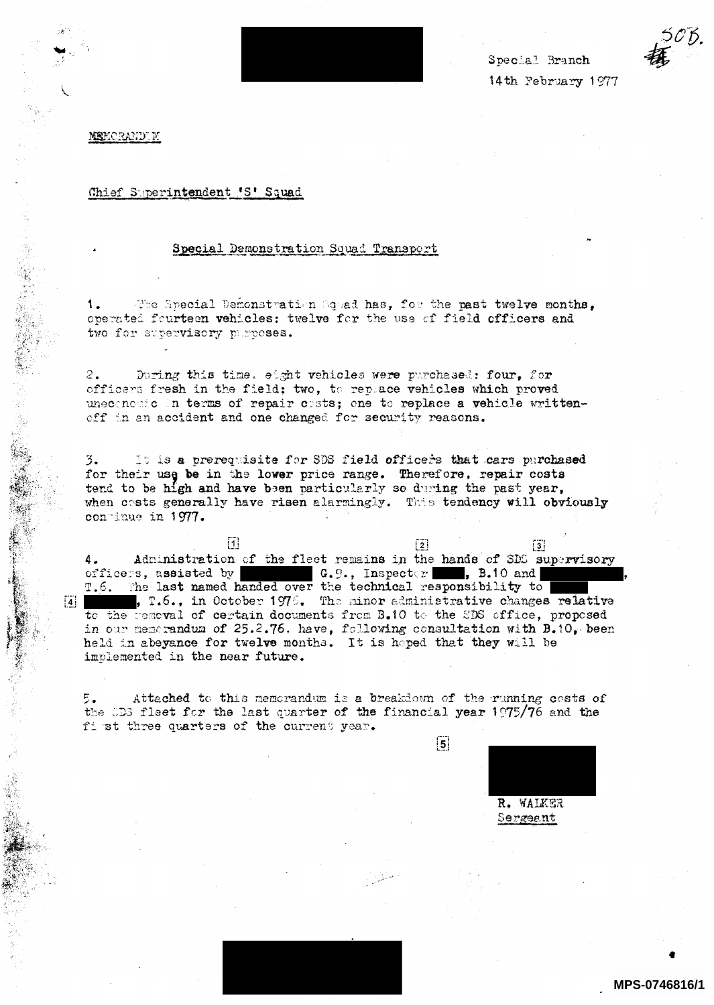Special Branch 14th February 1977



**MEMORANDEM** 

## Chief Superintendent 'S' Squad

## Special Demonstration Squad Transport

The Special Demonstration Squad has, for the past twelve months,  $1.$ operated fourteen vehicles: twelve for the use of field officers and two for supervisory purposes.

 $2.$ During this time. eight vehicles were purchased: four, for officers fresh in the field; two, to replace vehicles which proved uneconomic in terms of repair costs; one to replace a vehicle writtenoff in an accident and one changed for security reasons.

It is a prerequisite for SDS field officers that cars purchased 3. for their use be in the lower price range. Therefore, repair costs tend to be high and have been particularly so during the past year, when costs generally have risen alarmingly. This tendency will obviously continue in 1977.

 $\mathbf{1}$  $\lfloor 2 \rfloor$  $\sqrt{3}$ Administration of the fleet remains in the hands of SDS supervisory 4. G. 9., Inspector 5.10 and officers, assisted by T.6. The last named handed over the technical responsibility to , T.6., in October 1976. The minor administrative changes relative to the removal of certain documents from B.10 to the SDS office, proposed in our memorandum of 25.2.76. have, following consultation with  $B_{\star}10_{\star}$  been held in abeyance for twelve months. It is hoped that they will be implemented in the near future.

5. Attached to this memorandum is a breakdown of the running costs of the CD3 fleet for the last quarter of the financial year 1975/76 and the first three quarters of the current year.

R. WALKER Sergeant

 $|5|$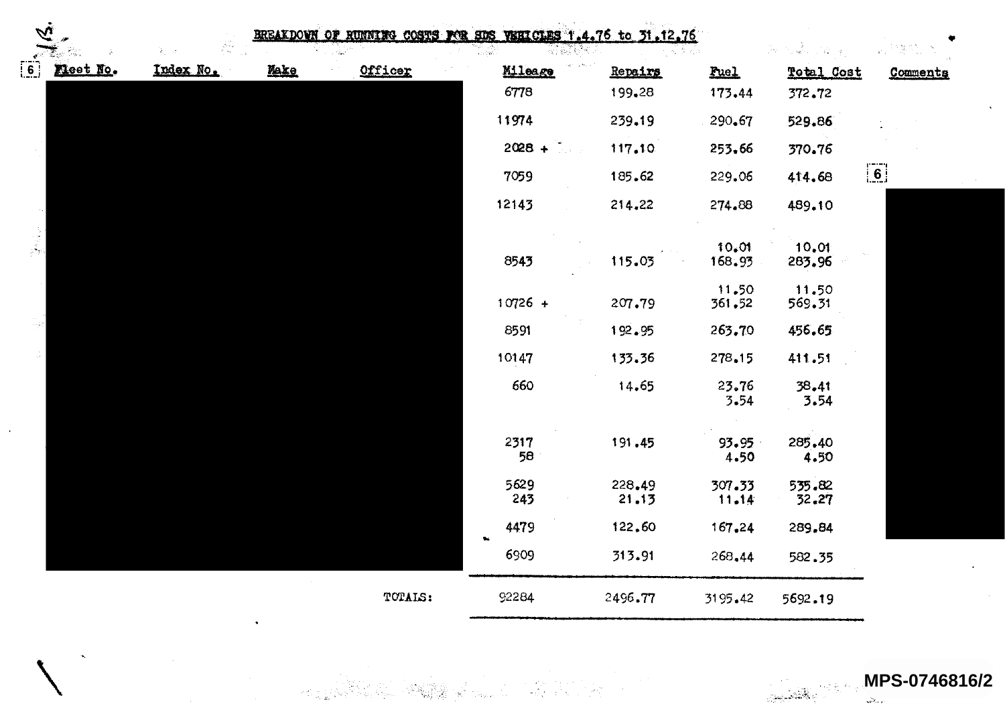| $\tilde{\mathbf{z}}$              |          |           |      | BREAKDOWN OF RUNNING COSTS FOR SDS VEHICLES 1.4.76 to 31.12.76 |             |                 |                 | กับเมื่อ เป็นประ<br>he. | Victoria (1980). |
|-----------------------------------|----------|-----------|------|----------------------------------------------------------------|-------------|-----------------|-----------------|-------------------------|------------------|
| $\begin{bmatrix} 6 \end{bmatrix}$ | Meet No. | Index No. | Make | Officer                                                        | Mileage     | Repairs         | Fuel            | <b>Total Cost</b>       | Commenta         |
|                                   |          |           |      |                                                                | 6778        | 199.28          | 173.44          | 372.72                  |                  |
|                                   |          |           |      |                                                                | 11974       | 239.19          | 290.67          | 529.86                  |                  |
|                                   |          |           |      |                                                                | $2028 + 7$  | 117.10          | 253.66          | 370.76                  |                  |
|                                   |          |           |      |                                                                | 7059        | 185.62          | 229.06          | 414.68                  | $\boxed{6}$      |
|                                   |          |           |      |                                                                | 12143       | 214.22          | 274.88          | 489.10                  |                  |
| Ã                                 |          |           |      |                                                                | 8543        | 115.03          | 10,01<br>168.93 | 10.01<br>283.96         |                  |
|                                   |          |           |      |                                                                | $10726 +$   | 207.79          | 11.50<br>361.52 | 11.50<br>569.31         |                  |
|                                   |          |           |      |                                                                | 8591        | 192.95          | 263.70          | 456.65                  |                  |
|                                   |          |           |      |                                                                | 10147       | 133.36          | 278.15          | 411.51                  |                  |
|                                   |          |           |      |                                                                | 660         | 14.65           | 23.76<br>3.54   | 38.41<br>3.54           |                  |
|                                   |          |           |      |                                                                | 2317<br>58  | 191.45          | 93.95<br>4.50   | 285.40<br>4.50          |                  |
|                                   |          |           |      |                                                                | 5629<br>243 | 228.49<br>21.13 | 307.33<br>11.14 | 535.82<br>32.27         |                  |
|                                   |          |           |      |                                                                | 4479        | 122.60          | 167.24          | 289.84                  |                  |
|                                   |          |           |      |                                                                | 6909        | 313.91          | 268.44          | 582.35                  |                  |
|                                   |          |           |      | TOTALS:                                                        | 92284       | 2496.77         | 3195.42         | 5692.19                 |                  |

 $\bar{z}$ 

MPS-0746816/2  $\frac{1}{\sqrt{2}}\sum_{i=1}^{n}$ 

الملائيين

 $\ddot{\phantom{a}}$